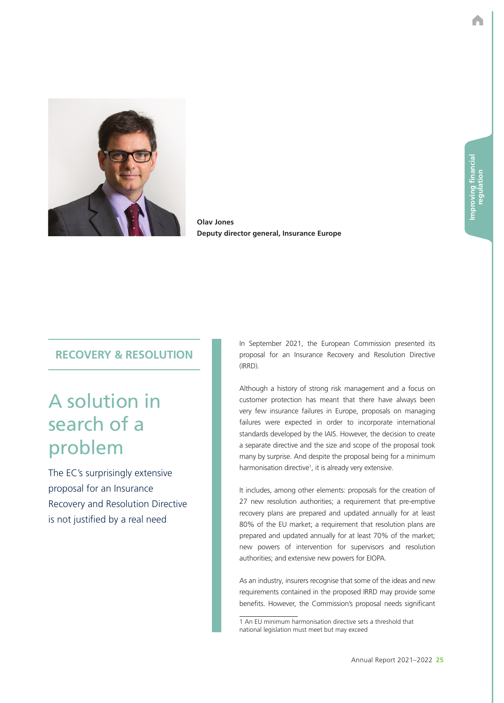

**Olav Jones Deputy director general, Insurance Europe**

## **RECOVERY & RESOLUTION**

## A solution in search of a problem

The EC's surprisingly extensive proposal for an Insurance Recovery and Resolution Directive is not justified by a real need

In September 2021, the European Commission presented its proposal for an Insurance Recovery and Resolution Directive (IRRD).

Although a history of strong risk management and a focus on customer protection has meant that there have always been very few insurance failures in Europe, proposals on managing failures were expected in order to incorporate international standards developed by the IAIS. However, the decision to create a separate directive and the size and scope of the proposal took many by surprise. And despite the proposal being for a minimum harmonisation directive<sup>1</sup>, it is already very extensive.

It includes, among other elements: proposals for the creation of 27 new resolution authorities; a requirement that pre-emptive recovery plans are prepared and updated annually for at least 80% of the EU market; a requirement that resolution plans are prepared and updated annually for at least 70% of the market; new powers of intervention for supervisors and resolution authorities; and extensive new powers for EIOPA.

As an industry, insurers recognise that some of the ideas and new requirements contained in the proposed IRRD may provide some benefits. However, the Commission's proposal needs significant

<sup>1</sup> An EU minimum harmonisation directive sets a threshold that national legislation must meet but may exceed